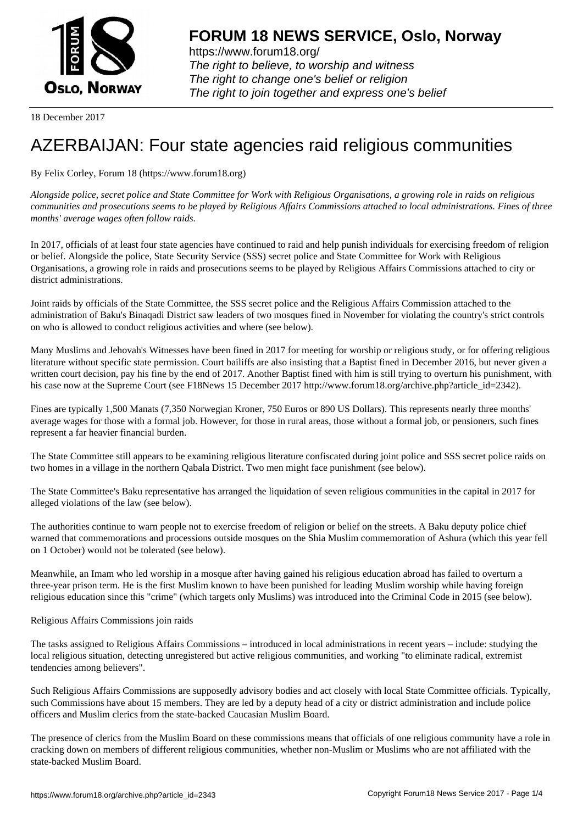

https://www.forum18.org/ The right to believe, to worship and witness The right to change one's belief or religion [The right to join together a](https://www.forum18.org/)nd express one's belief

18 December 2017

## [AZERBAIJAN: F](https://www.forum18.org)our state agencies raid religious communities

By Felix Corley, Forum 18 (https://www.forum18.org)

*Alongside police, secret police and State Committee for Work with Religious Organisations, a growing role in raids on religious communities and prosecutions seems to be played by Religious Affairs Commissions attached to local administrations. Fines of three months' average wages often follow raids.*

In 2017, officials of at least four state agencies have continued to raid and help punish individuals for exercising freedom of religion or belief. Alongside the police, State Security Service (SSS) secret police and State Committee for Work with Religious Organisations, a growing role in raids and prosecutions seems to be played by Religious Affairs Commissions attached to city or district administrations.

Joint raids by officials of the State Committee, the SSS secret police and the Religious Affairs Commission attached to the administration of Baku's Binaqadi District saw leaders of two mosques fined in November for violating the country's strict controls on who is allowed to conduct religious activities and where (see below).

Many Muslims and Jehovah's Witnesses have been fined in 2017 for meeting for worship or religious study, or for offering religious literature without specific state permission. Court bailiffs are also insisting that a Baptist fined in December 2016, but never given a written court decision, pay his fine by the end of 2017. Another Baptist fined with him is still trying to overturn his punishment, with his case now at the Supreme Court (see F18News 15 December 2017 http://www.forum18.org/archive.php?article\_id=2342).

Fines are typically 1,500 Manats (7,350 Norwegian Kroner, 750 Euros or 890 US Dollars). This represents nearly three months' average wages for those with a formal job. However, for those in rural areas, those without a formal job, or pensioners, such fines represent a far heavier financial burden.

The State Committee still appears to be examining religious literature confiscated during joint police and SSS secret police raids on two homes in a village in the northern Qabala District. Two men might face punishment (see below).

The State Committee's Baku representative has arranged the liquidation of seven religious communities in the capital in 2017 for alleged violations of the law (see below).

The authorities continue to warn people not to exercise freedom of religion or belief on the streets. A Baku deputy police chief warned that commemorations and processions outside mosques on the Shia Muslim commemoration of Ashura (which this year fell on 1 October) would not be tolerated (see below).

Meanwhile, an Imam who led worship in a mosque after having gained his religious education abroad has failed to overturn a three-year prison term. He is the first Muslim known to have been punished for leading Muslim worship while having foreign religious education since this "crime" (which targets only Muslims) was introduced into the Criminal Code in 2015 (see below).

Religious Affairs Commissions join raids

The tasks assigned to Religious Affairs Commissions – introduced in local administrations in recent years – include: studying the local religious situation, detecting unregistered but active religious communities, and working "to eliminate radical, extremist tendencies among believers".

Such Religious Affairs Commissions are supposedly advisory bodies and act closely with local State Committee officials. Typically, such Commissions have about 15 members. They are led by a deputy head of a city or district administration and include police officers and Muslim clerics from the state-backed Caucasian Muslim Board.

The presence of clerics from the Muslim Board on these commissions means that officials of one religious community have a role in cracking down on members of different religious communities, whether non-Muslim or Muslims who are not affiliated with the state-backed Muslim Board.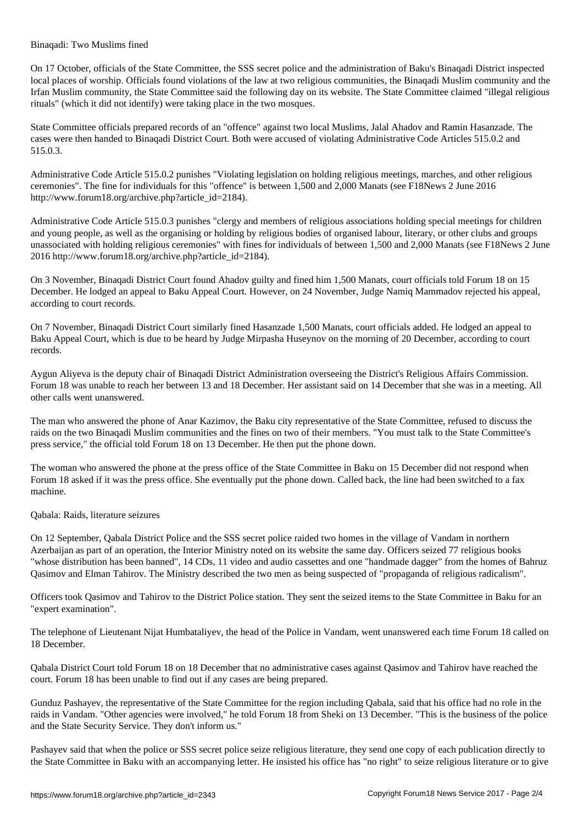On 17 October, officials of the State Committee, the SSS secret police and the administration of Baku's Binaqadi District inspected local places of worship. Officials found violations of the law at two religious communities, the Binaqadi Muslim community and the Irfan Muslim community, the State Committee said the following day on its website. The State Committee claimed "illegal religious rituals" (which it did not identify) were taking place in the two mosques.

State Committee officials prepared records of an "offence" against two local Muslims, Jalal Ahadov and Ramin Hasanzade. The cases were then handed to Binaqadi District Court. Both were accused of violating Administrative Code Articles 515.0.2 and 515.0.3.

Administrative Code Article 515.0.2 punishes "Violating legislation on holding religious meetings, marches, and other religious ceremonies". The fine for individuals for this "offence" is between 1,500 and 2,000 Manats (see F18News 2 June 2016 http://www.forum18.org/archive.php?article\_id=2184).

Administrative Code Article 515.0.3 punishes "clergy and members of religious associations holding special meetings for children and young people, as well as the organising or holding by religious bodies of organised labour, literary, or other clubs and groups unassociated with holding religious ceremonies" with fines for individuals of between 1,500 and 2,000 Manats (see F18News 2 June 2016 http://www.forum18.org/archive.php?article\_id=2184).

On 3 November, Binaqadi District Court found Ahadov guilty and fined him 1,500 Manats, court officials told Forum 18 on 15 December. He lodged an appeal to Baku Appeal Court. However, on 24 November, Judge Namiq Mammadov rejected his appeal, according to court records.

On 7 November, Binaqadi District Court similarly fined Hasanzade 1,500 Manats, court officials added. He lodged an appeal to Baku Appeal Court, which is due to be heard by Judge Mirpasha Huseynov on the morning of 20 December, according to court records.

Aygun Aliyeva is the deputy chair of Binaqadi District Administration overseeing the District's Religious Affairs Commission. Forum 18 was unable to reach her between 13 and 18 December. Her assistant said on 14 December that she was in a meeting. All other calls went unanswered.

The man who answered the phone of Anar Kazimov, the Baku city representative of the State Committee, refused to discuss the raids on the two Binaqadi Muslim communities and the fines on two of their members. "You must talk to the State Committee's press service," the official told Forum 18 on 13 December. He then put the phone down.

The woman who answered the phone at the press office of the State Committee in Baku on 15 December did not respond when Forum 18 asked if it was the press office. She eventually put the phone down. Called back, the line had been switched to a fax machine.

## Qabala: Raids, literature seizures

Binaqadi: Two Muslims fined

On 12 September, Qabala District Police and the SSS secret police raided two homes in the village of Vandam in northern Azerbaijan as part of an operation, the Interior Ministry noted on its website the same day. Officers seized 77 religious books "whose distribution has been banned", 14 CDs, 11 video and audio cassettes and one "handmade dagger" from the homes of Bahruz Qasimov and Elman Tahirov. The Ministry described the two men as being suspected of "propaganda of religious radicalism".

Officers took Qasimov and Tahirov to the District Police station. They sent the seized items to the State Committee in Baku for an "expert examination".

The telephone of Lieutenant Nijat Humbataliyev, the head of the Police in Vandam, went unanswered each time Forum 18 called on 18 December.

Qabala District Court told Forum 18 on 18 December that no administrative cases against Qasimov and Tahirov have reached the court. Forum 18 has been unable to find out if any cases are being prepared.

Gunduz Pashayev, the representative of the State Committee for the region including Qabala, said that his office had no role in the raids in Vandam. "Other agencies were involved," he told Forum 18 from Sheki on 13 December. "This is the business of the police and the State Security Service. They don't inform us."

Pashayev said that when the police or SSS secret police seize religious literature, they send one copy of each publication directly to the State Committee in Baku with an accompanying letter. He insisted his office has "no right" to seize religious literature or to give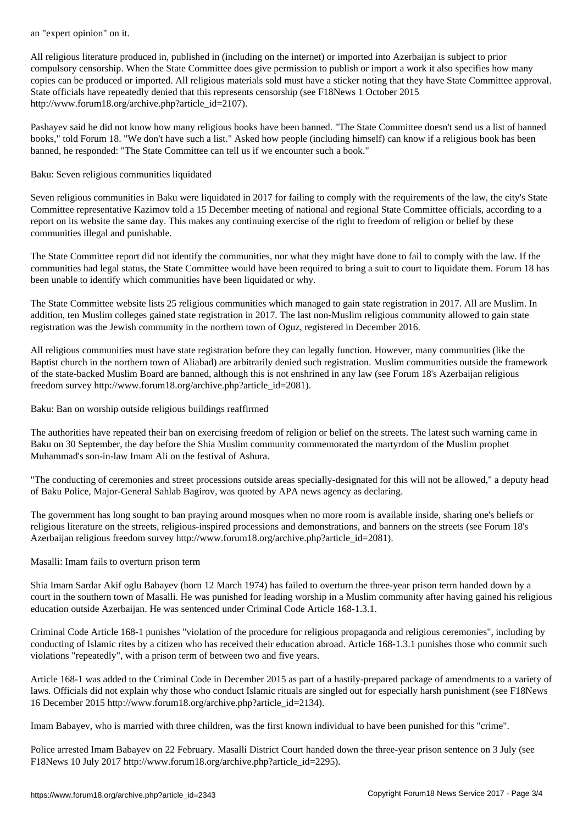All religious literature produced in, published in (including on the internet) or imported into Azerbaijan is subject to prior compulsory censorship. When the State Committee does give permission to publish or import a work it also specifies how many copies can be produced or imported. All religious materials sold must have a sticker noting that they have State Committee approval. State officials have repeatedly denied that this represents censorship (see F18News 1 October 2015 http://www.forum18.org/archive.php?article\_id=2107).

Pashayev said he did not know how many religious books have been banned. "The State Committee doesn't send us a list of banned books," told Forum 18. "We don't have such a list." Asked how people (including himself) can know if a religious book has been banned, he responded: "The State Committee can tell us if we encounter such a book."

Baku: Seven religious communities liquidated

Seven religious communities in Baku were liquidated in 2017 for failing to comply with the requirements of the law, the city's State Committee representative Kazimov told a 15 December meeting of national and regional State Committee officials, according to a report on its website the same day. This makes any continuing exercise of the right to freedom of religion or belief by these communities illegal and punishable.

The State Committee report did not identify the communities, nor what they might have done to fail to comply with the law. If the communities had legal status, the State Committee would have been required to bring a suit to court to liquidate them. Forum 18 has been unable to identify which communities have been liquidated or why.

The State Committee website lists 25 religious communities which managed to gain state registration in 2017. All are Muslim. In addition, ten Muslim colleges gained state registration in 2017. The last non-Muslim religious community allowed to gain state registration was the Jewish community in the northern town of Oguz, registered in December 2016.

All religious communities must have state registration before they can legally function. However, many communities (like the Baptist church in the northern town of Aliabad) are arbitrarily denied such registration. Muslim communities outside the framework of the state-backed Muslim Board are banned, although this is not enshrined in any law (see Forum 18's Azerbaijan religious freedom survey http://www.forum18.org/archive.php?article\_id=2081).

Baku: Ban on worship outside religious buildings reaffirmed

The authorities have repeated their ban on exercising freedom of religion or belief on the streets. The latest such warning came in Baku on 30 September, the day before the Shia Muslim community commemorated the martyrdom of the Muslim prophet Muhammad's son-in-law Imam Ali on the festival of Ashura.

"The conducting of ceremonies and street processions outside areas specially-designated for this will not be allowed," a deputy head of Baku Police, Major-General Sahlab Bagirov, was quoted by APA news agency as declaring.

The government has long sought to ban praying around mosques when no more room is available inside, sharing one's beliefs or religious literature on the streets, religious-inspired processions and demonstrations, and banners on the streets (see Forum 18's Azerbaijan religious freedom survey http://www.forum18.org/archive.php?article\_id=2081).

Masalli: Imam fails to overturn prison term

Shia Imam Sardar Akif oglu Babayev (born 12 March 1974) has failed to overturn the three-year prison term handed down by a court in the southern town of Masalli. He was punished for leading worship in a Muslim community after having gained his religious education outside Azerbaijan. He was sentenced under Criminal Code Article 168-1.3.1.

Criminal Code Article 168-1 punishes "violation of the procedure for religious propaganda and religious ceremonies", including by conducting of Islamic rites by a citizen who has received their education abroad. Article 168-1.3.1 punishes those who commit such violations "repeatedly", with a prison term of between two and five years.

Article 168-1 was added to the Criminal Code in December 2015 as part of a hastily-prepared package of amendments to a variety of laws. Officials did not explain why those who conduct Islamic rituals are singled out for especially harsh punishment (see F18News 16 December 2015 http://www.forum18.org/archive.php?article\_id=2134).

Imam Babayev, who is married with three children, was the first known individual to have been punished for this "crime".

Police arrested Imam Babayev on 22 February. Masalli District Court handed down the three-year prison sentence on 3 July (see F18News 10 July 2017 http://www.forum18.org/archive.php?article\_id=2295).